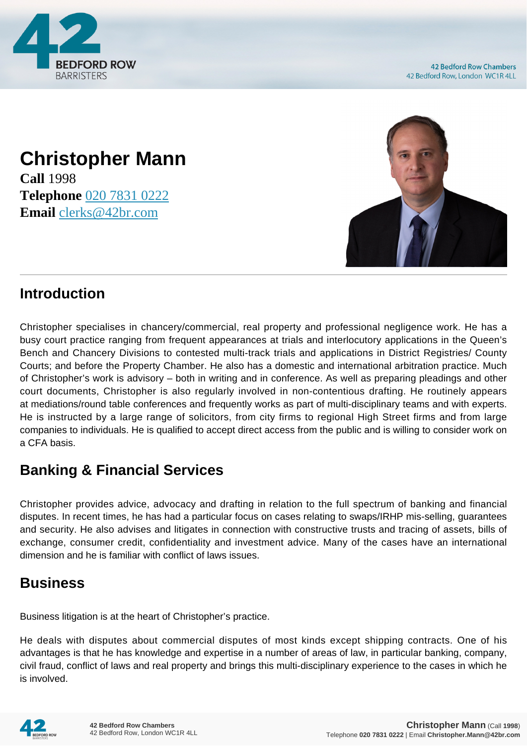

## **Christopher Mann Call** 1998

**Telephone** [020 7831 0222](https://pdf.codeshore.co/_42br/tel:020 7831 0222) **Email** [clerks@42br.com](mailto:clerks@42br.com)



## **Introduction**

Christopher specialises in chancery/commercial, real property and professional negligence work. He has a busy court practice ranging from frequent appearances at trials and interlocutory applications in the Queen's Bench and Chancery Divisions to contested multi-track trials and applications in District Registries/ County Courts; and before the Property Chamber. He also has a domestic and international arbitration practice. Much of Christopher's work is advisory – both in writing and in conference. As well as preparing pleadings and other court documents, Christopher is also regularly involved in non-contentious drafting. He routinely appears at mediations/round table conferences and frequently works as part of multi-disciplinary teams and with experts. He is instructed by a large range of solicitors, from city firms to regional High Street firms and from large companies to individuals. He is qualified to accept direct access from the public and is willing to consider work on a CFA basis.

# **Banking & Financial Services**

Christopher provides advice, advocacy and drafting in relation to the full spectrum of banking and financial disputes. In recent times, he has had a particular focus on cases relating to swaps/IRHP mis-selling, guarantees and security. He also advises and litigates in connection with constructive trusts and tracing of assets, bills of exchange, consumer credit, confidentiality and investment advice. Many of the cases have an international dimension and he is familiar with conflict of laws issues.

## **Business**

Business litigation is at the heart of Christopher's practice.

He deals with disputes about commercial disputes of most kinds except shipping contracts. One of his advantages is that he has knowledge and expertise in a number of areas of law, in particular banking, company, civil fraud, conflict of laws and real property and brings this multi-disciplinary experience to the cases in which he is involved.

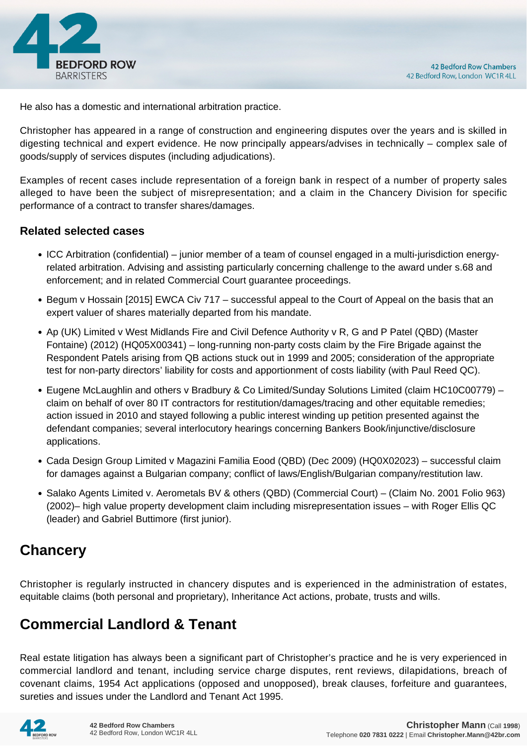

He also has a domestic and international arbitration practice.

Christopher has appeared in a range of construction and engineering disputes over the years and is skilled in digesting technical and expert evidence. He now principally appears/advises in technically – complex sale of goods/supply of services disputes (including adjudications).

Examples of recent cases include representation of a foreign bank in respect of a number of property sales alleged to have been the subject of misrepresentation; and a claim in the Chancery Division for specific performance of a contract to transfer shares/damages.

#### **Related selected cases**

- ICC Arbitration (confidential) junior member of a team of counsel engaged in a multi-jurisdiction energyrelated arbitration. Advising and assisting particularly concerning challenge to the award under s.68 and enforcement; and in related Commercial Court guarantee proceedings.
- Begum v Hossain [2015] EWCA Civ 717 successful appeal to the Court of Appeal on the basis that an expert valuer of shares materially departed from his mandate.
- Ap (UK) Limited v West Midlands Fire and Civil Defence Authority v R, G and P Patel (QBD) (Master Fontaine) (2012) (HQ05X00341) – long-running non-party costs claim by the Fire Brigade against the Respondent Patels arising from QB actions stuck out in 1999 and 2005; consideration of the appropriate test for non-party directors' liability for costs and apportionment of costs liability (with Paul Reed QC).
- Eugene McLaughlin and others v Bradbury & Co Limited/Sunday Solutions Limited (claim HC10C00779) claim on behalf of over 80 IT contractors for restitution/damages/tracing and other equitable remedies; action issued in 2010 and stayed following a public interest winding up petition presented against the defendant companies; several interlocutory hearings concerning Bankers Book/injunctive/disclosure applications.
- Cada Design Group Limited v Magazini Familia Eood (QBD) (Dec 2009) (HQ0X02023) successful claim for damages against a Bulgarian company; conflict of laws/English/Bulgarian company/restitution law.
- Salako Agents Limited v. Aerometals BV & others (QBD) (Commercial Court) (Claim No. 2001 Folio 963) (2002)– high value property development claim including misrepresentation issues – with Roger Ellis QC (leader) and Gabriel Buttimore (first junior).

### **Chancery**

Christopher is regularly instructed in chancery disputes and is experienced in the administration of estates, equitable claims (both personal and proprietary), Inheritance Act actions, probate, trusts and wills.

### **Commercial Landlord & Tenant**

Real estate litigation has always been a significant part of Christopher's practice and he is very experienced in commercial landlord and tenant, including service charge disputes, rent reviews, dilapidations, breach of covenant claims, 1954 Act applications (opposed and unopposed), break clauses, forfeiture and guarantees, sureties and issues under the Landlord and Tenant Act 1995.

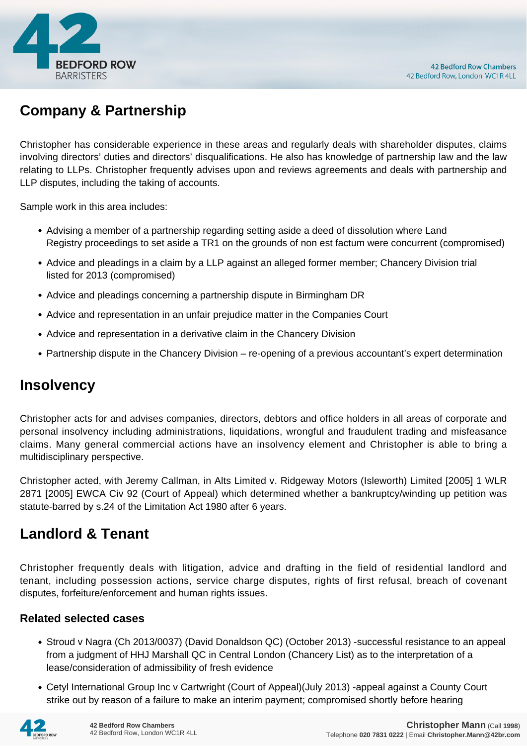

# **Company & Partnership**

Christopher has considerable experience in these areas and regularly deals with shareholder disputes, claims involving directors' duties and directors' disqualifications. He also has knowledge of partnership law and the law relating to LLPs. Christopher frequently advises upon and reviews agreements and deals with partnership and LLP disputes, including the taking of accounts.

Sample work in this area includes:

- Advising a member of a partnership regarding setting aside a deed of dissolution where Land Registry proceedings to set aside a TR1 on the grounds of non est factum were concurrent (compromised)
- Advice and pleadings in a claim by a LLP against an alleged former member; Chancery Division trial listed for 2013 (compromised)
- Advice and pleadings concerning a partnership dispute in Birmingham DR
- Advice and representation in an unfair prejudice matter in the Companies Court
- Advice and representation in a derivative claim in the Chancery Division
- Partnership dispute in the Chancery Division re-opening of a previous accountant's expert determination

### **Insolvency**

Christopher acts for and advises companies, directors, debtors and office holders in all areas of corporate and personal insolvency including administrations, liquidations, wrongful and fraudulent trading and misfeasance claims. Many general commercial actions have an insolvency element and Christopher is able to bring a multidisciplinary perspective.

Christopher acted, with Jeremy Callman, in Alts Limited v. Ridgeway Motors (Isleworth) Limited [2005] 1 WLR 2871 [2005] EWCA Civ 92 (Court of Appeal) which determined whether a bankruptcy/winding up petition was statute-barred by s.24 of the Limitation Act 1980 after 6 years.

### **Landlord & Tenant**

Christopher frequently deals with litigation, advice and drafting in the field of residential landlord and tenant, including possession actions, service charge disputes, rights of first refusal, breach of covenant disputes, forfeiture/enforcement and human rights issues.

#### **Related selected cases**

- Stroud v Nagra (Ch 2013/0037) (David Donaldson QC) (October 2013) -successful resistance to an appeal from a judgment of HHJ Marshall QC in Central London (Chancery List) as to the interpretation of a lease/consideration of admissibility of fresh evidence
- Cetyl International Group Inc v Cartwright (Court of Appeal)(July 2013) -appeal against a County Court strike out by reason of a failure to make an interim payment; compromised shortly before hearing

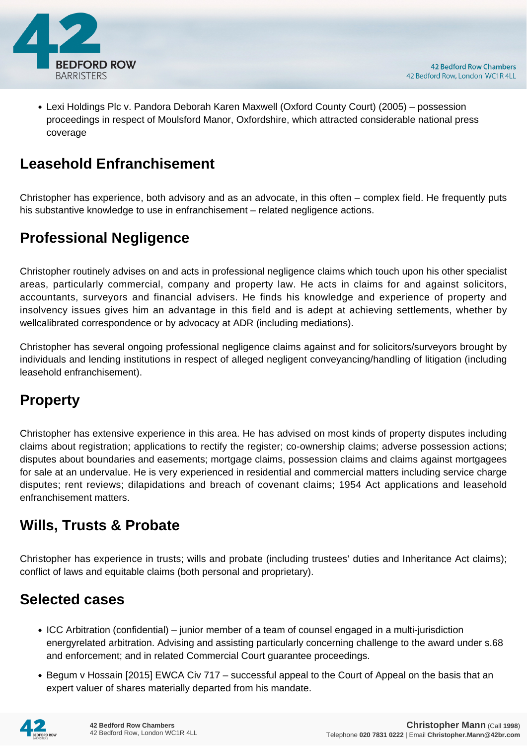

Lexi Holdings Plc v. Pandora Deborah Karen Maxwell (Oxford County Court) (2005) – possession proceedings in respect of Moulsford Manor, Oxfordshire, which attracted considerable national press coverage

## **Leasehold Enfranchisement**

Christopher has experience, both advisory and as an advocate, in this often – complex field. He frequently puts his substantive knowledge to use in enfranchisement – related negligence actions.

## **Professional Negligence**

Christopher routinely advises on and acts in professional negligence claims which touch upon his other specialist areas, particularly commercial, company and property law. He acts in claims for and against solicitors, accountants, surveyors and financial advisers. He finds his knowledge and experience of property and insolvency issues gives him an advantage in this field and is adept at achieving settlements, whether by wellcalibrated correspondence or by advocacy at ADR (including mediations).

Christopher has several ongoing professional negligence claims against and for solicitors/surveyors brought by individuals and lending institutions in respect of alleged negligent conveyancing/handling of litigation (including leasehold enfranchisement).

# **Property**

Christopher has extensive experience in this area. He has advised on most kinds of property disputes including claims about registration; applications to rectify the register; co-ownership claims; adverse possession actions; disputes about boundaries and easements; mortgage claims, possession claims and claims against mortgagees for sale at an undervalue. He is very experienced in residential and commercial matters including service charge disputes; rent reviews; dilapidations and breach of covenant claims; 1954 Act applications and leasehold enfranchisement matters.

# **Wills, Trusts & Probate**

Christopher has experience in trusts; wills and probate (including trustees' duties and Inheritance Act claims); conflict of laws and equitable claims (both personal and proprietary).

## **Selected cases**

- ICC Arbitration (confidential) junior member of a team of counsel engaged in a multi-jurisdiction energyrelated arbitration. Advising and assisting particularly concerning challenge to the award under s.68 and enforcement; and in related Commercial Court guarantee proceedings.
- Begum v Hossain [2015] EWCA Civ 717 successful appeal to the Court of Appeal on the basis that an expert valuer of shares materially departed from his mandate.

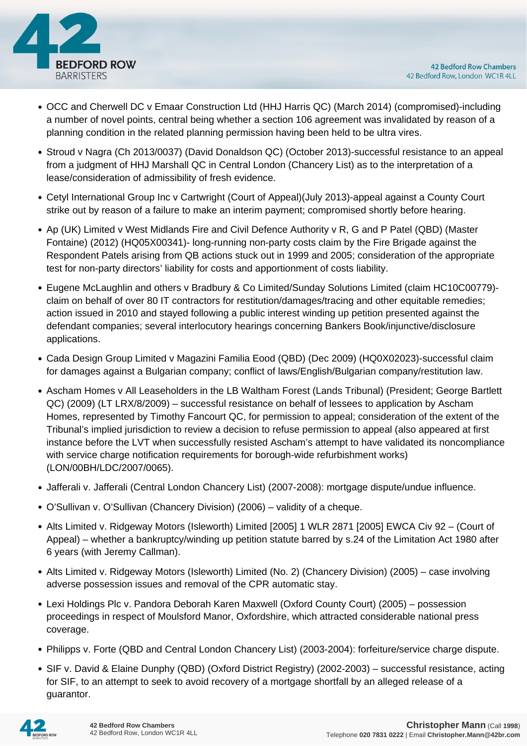

- OCC and Cherwell DC v Emaar Construction Ltd (HHJ Harris QC) (March 2014) (compromised)-including a number of novel points, central being whether a section 106 agreement was invalidated by reason of a planning condition in the related planning permission having been held to be ultra vires.
- Stroud v Nagra (Ch 2013/0037) (David Donaldson QC) (October 2013)-successful resistance to an appeal from a judgment of HHJ Marshall QC in Central London (Chancery List) as to the interpretation of a lease/consideration of admissibility of fresh evidence.
- Cetyl International Group Inc v Cartwright (Court of Appeal)(July 2013)-appeal against a County Court strike out by reason of a failure to make an interim payment; compromised shortly before hearing.
- Ap (UK) Limited v West Midlands Fire and Civil Defence Authority v R, G and P Patel (QBD) (Master Fontaine) (2012) (HQ05X00341)- long-running non-party costs claim by the Fire Brigade against the Respondent Patels arising from QB actions stuck out in 1999 and 2005; consideration of the appropriate test for non-party directors' liability for costs and apportionment of costs liability.
- Eugene McLaughlin and others v Bradbury & Co Limited/Sunday Solutions Limited (claim HC10C00779) claim on behalf of over 80 IT contractors for restitution/damages/tracing and other equitable remedies; action issued in 2010 and stayed following a public interest winding up petition presented against the defendant companies; several interlocutory hearings concerning Bankers Book/injunctive/disclosure applications.
- Cada Design Group Limited v Magazini Familia Eood (QBD) (Dec 2009) (HQ0X02023)-successful claim for damages against a Bulgarian company; conflict of laws/English/Bulgarian company/restitution law.
- Ascham Homes v All Leaseholders in the LB Waltham Forest (Lands Tribunal) (President; George Bartlett QC) (2009) (LT LRX/8/2009) – successful resistance on behalf of lessees to application by Ascham Homes, represented by Timothy Fancourt QC, for permission to appeal; consideration of the extent of the Tribunal's implied jurisdiction to review a decision to refuse permission to appeal (also appeared at first instance before the LVT when successfully resisted Ascham's attempt to have validated its noncompliance with service charge notification requirements for borough-wide refurbishment works) (LON/00BH/LDC/2007/0065).
- Jafferali v. Jafferali (Central London Chancery List) (2007-2008): mortgage dispute/undue influence.
- O'Sullivan v. O'Sullivan (Chancery Division) (2006) validity of a cheque.
- Alts Limited v. Ridgeway Motors (Isleworth) Limited [2005] 1 WLR 2871 [2005] EWCA Civ 92 (Court of Appeal) – whether a bankruptcy/winding up petition statute barred by s.24 of the Limitation Act 1980 after 6 years (with Jeremy Callman).
- Alts Limited v. Ridgeway Motors (Isleworth) Limited (No. 2) (Chancery Division) (2005) case involving adverse possession issues and removal of the CPR automatic stay.
- Lexi Holdings Plc v. Pandora Deborah Karen Maxwell (Oxford County Court) (2005) possession proceedings in respect of Moulsford Manor, Oxfordshire, which attracted considerable national press coverage.
- Philipps v. Forte (QBD and Central London Chancery List) (2003-2004): forfeiture/service charge dispute.
- SIF v. David & Elaine Dunphy (QBD) (Oxford District Registry) (2002-2003) successful resistance, acting for SIF, to an attempt to seek to avoid recovery of a mortgage shortfall by an alleged release of a guarantor.

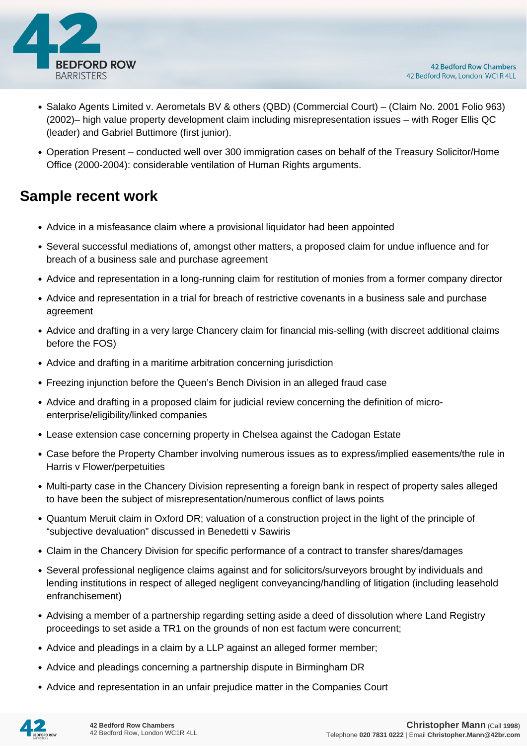

- Salako Agents Limited v. Aerometals BV & others (QBD) (Commercial Court) (Claim No. 2001 Folio 963) (2002)– high value property development claim including misrepresentation issues – with Roger Ellis QC (leader) and Gabriel Buttimore (first junior).
- Operation Present conducted well over 300 immigration cases on behalf of the Treasury Solicitor/Home Office (2000-2004): considerable ventilation of Human Rights arguments.

### **Sample recent work**

- Advice in a misfeasance claim where a provisional liquidator had been appointed
- Several successful mediations of, amongst other matters, a proposed claim for undue influence and for breach of a business sale and purchase agreement
- Advice and representation in a long-running claim for restitution of monies from a former company director
- Advice and representation in a trial for breach of restrictive covenants in a business sale and purchase agreement
- Advice and drafting in a very large Chancery claim for financial mis-selling (with discreet additional claims before the FOS)
- Advice and drafting in a maritime arbitration concerning jurisdiction
- Freezing injunction before the Queen's Bench Division in an alleged fraud case
- Advice and drafting in a proposed claim for judicial review concerning the definition of microenterprise/eligibility/linked companies
- Lease extension case concerning property in Chelsea against the Cadogan Estate
- Case before the Property Chamber involving numerous issues as to express/implied easements/the rule in Harris v Flower/perpetuities
- Multi-party case in the Chancery Division representing a foreign bank in respect of property sales alleged to have been the subject of misrepresentation/numerous conflict of laws points
- Quantum Meruit claim in Oxford DR; valuation of a construction project in the light of the principle of "subjective devaluation" discussed in Benedetti v Sawiris
- Claim in the Chancery Division for specific performance of a contract to transfer shares/damages
- Several professional negligence claims against and for solicitors/surveyors brought by individuals and lending institutions in respect of alleged negligent conveyancing/handling of litigation (including leasehold enfranchisement)
- Advising a member of a partnership regarding setting aside a deed of dissolution where Land Registry proceedings to set aside a TR1 on the grounds of non est factum were concurrent;
- Advice and pleadings in a claim by a LLP against an alleged former member;
- Advice and pleadings concerning a partnership dispute in Birmingham DR
- Advice and representation in an unfair prejudice matter in the Companies Court

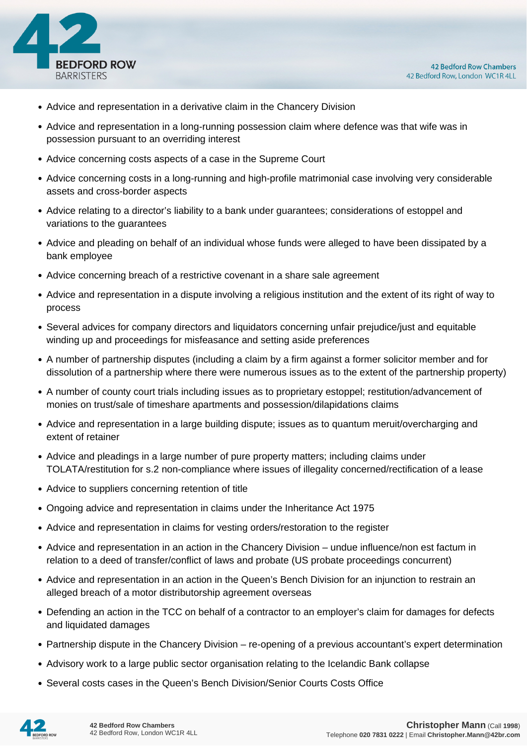

- Advice and representation in a derivative claim in the Chancery Division
- Advice and representation in a long-running possession claim where defence was that wife was in possession pursuant to an overriding interest
- Advice concerning costs aspects of a case in the Supreme Court
- Advice concerning costs in a long-running and high-profile matrimonial case involving very considerable assets and cross-border aspects
- Advice relating to a director's liability to a bank under guarantees; considerations of estoppel and variations to the guarantees
- Advice and pleading on behalf of an individual whose funds were alleged to have been dissipated by a bank employee
- Advice concerning breach of a restrictive covenant in a share sale agreement
- Advice and representation in a dispute involving a religious institution and the extent of its right of way to process
- Several advices for company directors and liquidators concerning unfair prejudice/just and equitable winding up and proceedings for misfeasance and setting aside preferences
- A number of partnership disputes (including a claim by a firm against a former solicitor member and for dissolution of a partnership where there were numerous issues as to the extent of the partnership property)
- A number of county court trials including issues as to proprietary estoppel; restitution/advancement of monies on trust/sale of timeshare apartments and possession/dilapidations claims
- Advice and representation in a large building dispute; issues as to quantum meruit/overcharging and extent of retainer
- Advice and pleadings in a large number of pure property matters; including claims under TOLATA/restitution for s.2 non-compliance where issues of illegality concerned/rectification of a lease
- Advice to suppliers concerning retention of title
- Ongoing advice and representation in claims under the Inheritance Act 1975
- Advice and representation in claims for vesting orders/restoration to the register
- Advice and representation in an action in the Chancery Division undue influence/non est factum in relation to a deed of transfer/conflict of laws and probate (US probate proceedings concurrent)
- Advice and representation in an action in the Queen's Bench Division for an injunction to restrain an alleged breach of a motor distributorship agreement overseas
- Defending an action in the TCC on behalf of a contractor to an employer's claim for damages for defects and liquidated damages
- Partnership dispute in the Chancery Division re-opening of a previous accountant's expert determination
- Advisory work to a large public sector organisation relating to the Icelandic Bank collapse
- Several costs cases in the Queen's Bench Division/Senior Courts Costs Office